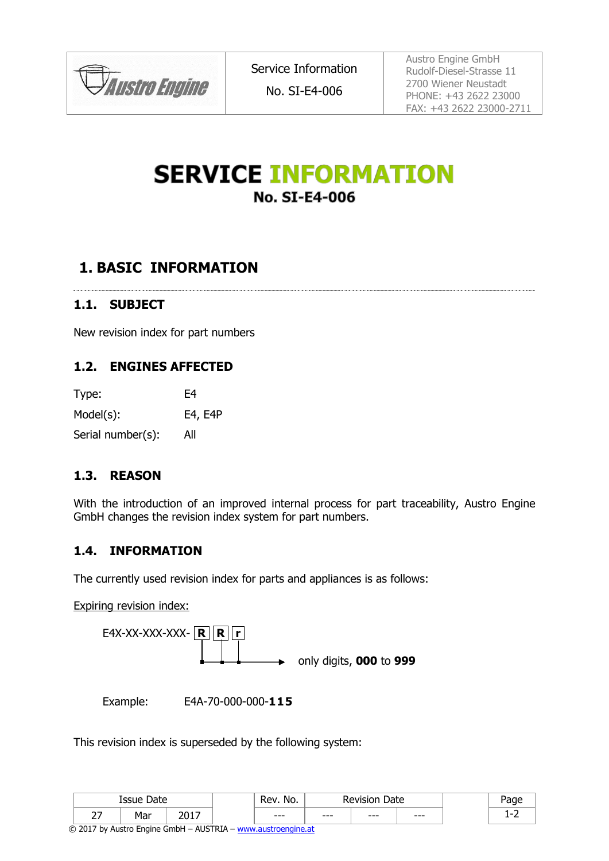

No. SI-E4-006

Austro Engine GmbH Rudolf-Diesel-Strasse 11 2700 Wiener Neustadt PHONE: +43 2622 23000 FAX: +43 2622 23000-2711

# **SERVICE INFORMATION No. SI-E4-006**

## **1. BASIC INFORMATION**

### **1.1. SUBJECT**

New revision index for part numbers

#### **1.2. ENGINES AFFECTED**

| Type:             | F4      |
|-------------------|---------|
| $Model(s)$ :      | E4, E4P |
| Serial number(s): | All     |

#### **1.3. REASON**

With the introduction of an improved internal process for part traceability, Austro Engine GmbH changes the revision index system for part numbers.

#### **1.4. INFORMATION**

The currently used revision index for parts and appliances is as follows:

Expiring revision index:



Example: E4A-70-000-000-**115**

This revision index is superseded by the following system:

| Date<br><b>Issue</b> |                 | <b>Rev</b><br>No. | Date<br> |      |      |      |     |
|----------------------|-----------------|-------------------|----------|------|------|------|-----|
| $\sim$ $-$<br>- -    | . เปราะ<br>'ıaı | ,,,, <del>,</del> | $--$     | $--$ | $--$ | $--$ | . . |

© 2017 by Austro Engine GmbH – AUSTRIA – [www.austroengine.at](http://www.austroengine.at/)